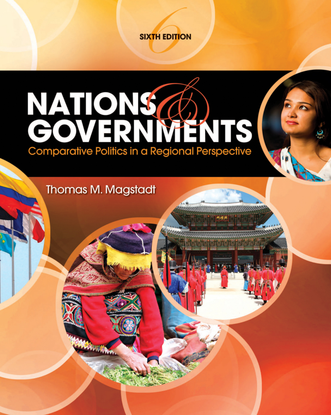

## **NATIONS**<br>GOVERNMENTS Comparative Politics in a Regional Persp

**Thomas M. Magstadt**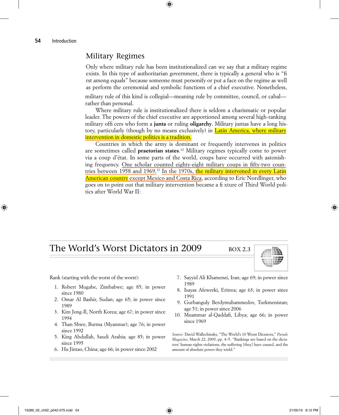## Military Regimes

Only where military rule has been institutionalized can we say that a military regime exists. In this type of authoritarian government, there is typically a general who is "fi rst among equals" because someone must personify or put a face on the regime as well as perform the ceremonial and symbolic functions of a chief executive. Nonetheless,

military rule of this kind is collegial—meaning rule by committee, council, or cabal rather than personal.

Where military rule is institutionalized there is seldom a charismatic or popular leader. The powers of the chief executive are apportioned among several high-ranking military offi cers who form a **junta** or ruling **oligarchy**. Military juntas have a long history, particularly (though by no means exclusively) in **Latin America, where military** intervention in domestic politics is a tradition.

Countries in which the army is dominant or frequently intervenes in politics are sometimes called **praetorian states**. <sup>12</sup> Military regimes typically come to power via a coup d'état. In some parts of the world, coups have occurred with astonishing frequency. One scholar counted eighty-eight military coups in fifty-two countries between 1958 and 1969.<sup>13</sup> In the 1970s, the military intervened in every Latin American country except Mexico and Costa Rica, according to Eric Nordlinger, who goes on to point out that military intervention became a fi xture of Third World politics after World War II:

## The World's Worst Dictators in 2009 BOX 2.3



Rank (starting with the worst of the worst):

- 1. Robert Mugabe, Zimbabwe; age 85; in power since 1980
- 2. Omar Al Bashir, Sudan; age 65; in power since 1989
- 3. Kim Jong-Il, North Korea; age 67; in power since 1994
- 4. Than Shwe, Burma (Myanmar); age 76; in power since 1992
- 5. King Abdullah, Saudi Arabia; age 85; in power since 1995
- 6. Hu Jintao, China; age 66; in power since 2002
- 7. Sayyid Ali Khamenei, Iran; age 69; in power since 1989
- 8. Isayas Afewerki, Eritrea; age 63; in power since 1991
- 9. Gurbanguly Berdymuhammedov, Turkmenistan; age 51; in power since 2006
- 10. Muammar al-Qaddafi, Libya; age 66; in power since 1969

*Source:* David Wallechinsky, "The World's 10 Worst Dictators," *Parade Magazine*, March 22, 2009, pp. 4–5. "Rankings are based on the dictators' human-rights violations, the suffering [they] have caused, and the amount of absolute power they wield."